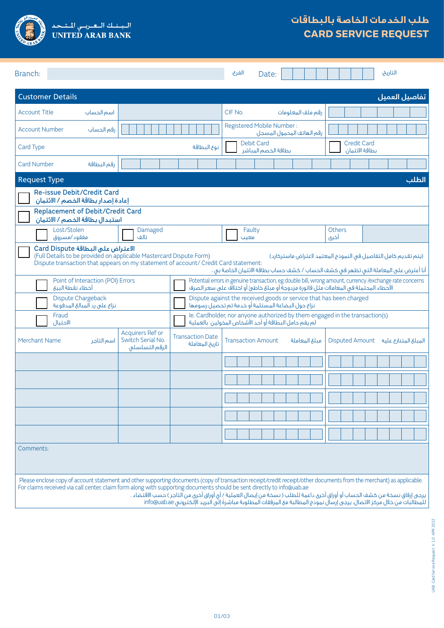

## **طلب الخدمات الخاصة بالبطاقات CARD SERVICE REQUEST**

| Branch:                                                                                                                                                                                                                                                                                         |                                                                                                                          |                                           | الفرع:<br>Date:                                                                                                                                                                                   |                           |                                      | التاريخ:                                                                                                                                               |  |
|-------------------------------------------------------------------------------------------------------------------------------------------------------------------------------------------------------------------------------------------------------------------------------------------------|--------------------------------------------------------------------------------------------------------------------------|-------------------------------------------|---------------------------------------------------------------------------------------------------------------------------------------------------------------------------------------------------|---------------------------|--------------------------------------|--------------------------------------------------------------------------------------------------------------------------------------------------------|--|
| <b>Customer Details</b>                                                                                                                                                                                                                                                                         |                                                                                                                          |                                           |                                                                                                                                                                                                   |                           |                                      | <mark>تفاصيل العميل</mark>                                                                                                                             |  |
| <b>Account Title</b><br>اسم الحساب                                                                                                                                                                                                                                                              |                                                                                                                          |                                           | CIF No.                                                                                                                                                                                           | رقم ملف المعلومات         |                                      |                                                                                                                                                        |  |
| <b>Account Number</b><br>رقم الحساب                                                                                                                                                                                                                                                             |                                                                                                                          |                                           | Registered Mobile Number:                                                                                                                                                                         | رقم الهاتف المحمول المسجل |                                      |                                                                                                                                                        |  |
| Card Type                                                                                                                                                                                                                                                                                       |                                                                                                                          | نوع البطاقة                               | <b>Debit Card</b><br>بطاقة الخصم المباشر                                                                                                                                                          |                           | <b>Credit Card</b><br>بطاقة الائتمان |                                                                                                                                                        |  |
| Card Number<br>رقم البطاقة                                                                                                                                                                                                                                                                      |                                                                                                                          |                                           |                                                                                                                                                                                                   |                           |                                      |                                                                                                                                                        |  |
| <b>Request Type</b>                                                                                                                                                                                                                                                                             |                                                                                                                          |                                           |                                                                                                                                                                                                   |                           |                                      | الطلب                                                                                                                                                  |  |
| <b>Re-issue Debit/Credit Card</b><br>إعادة إصدار بطاقة الخصم / الائتمان                                                                                                                                                                                                                         |                                                                                                                          |                                           |                                                                                                                                                                                                   |                           |                                      |                                                                                                                                                        |  |
| <b>Replacement of Debit/Credit Card</b><br>استبدال بطاقة الخصم / الائتمان                                                                                                                                                                                                                       |                                                                                                                          |                                           |                                                                                                                                                                                                   |                           |                                      |                                                                                                                                                        |  |
| Lost/Stolen<br>مفقود/مسروق                                                                                                                                                                                                                                                                      | Damaged<br>تالف                                                                                                          |                                           | Faulty<br>معنت                                                                                                                                                                                    |                           | <b>Others</b><br>أخرى                |                                                                                                                                                        |  |
| الاعتراض على البطاقة Card Dispute<br>(Full Details to be provided on applicable Mastercard Dispute Form)<br>Dispute transaction that appears on my statement of account/ Credit Card statement:                                                                                                 |                                                                                                                          |                                           |                                                                                                                                                                                                   |                           |                                      | (يتم تقديم كامل التفاصيل فى النموذج المعتمد لاعتراض ماستركارد)<br>أنا أعترض على المعاملة التى تظهر فى كشف الحساب / كشف حساب بطاقة الائتمان الخاصة بى ، |  |
| Point of Interaction (POI) Errors<br>أخطاء نقطة البيع                                                                                                                                                                                                                                           |                                                                                                                          |                                           | Potential errors in genuine transaction, eg double bill, wrong amount, currency /exchange rate concerns<br>الأخطاء المحتملة فى المعاملات مثل فاتورة مزدوجةَ أو مبلغ خاطئ أو اختلافٌ على سعر الصرف |                           |                                      |                                                                                                                                                        |  |
| Dispute Chargeback<br>نزاع على رد المبالغ المدفوعة                                                                                                                                                                                                                                              | Dispute against the received goods or service that has been charged<br>نزاع حول البضاعة المستلمة أو خدمة تم تحصيل رسومها |                                           |                                                                                                                                                                                                   |                           |                                      |                                                                                                                                                        |  |
| Fraud<br>الاحتىال                                                                                                                                                                                                                                                                               |                                                                                                                          |                                           | le. Cardholder, nor anyone authorized by them engaged in the transaction(s)<br>لم يقم حامل البطاقة أو أحد الأشخاص المخولين بالعملية                                                               |                           |                                      |                                                                                                                                                        |  |
| <b>Merchant Name</b><br>اسم التاجر                                                                                                                                                                                                                                                              | Acquirers Ref or<br>Switch Serial No.<br>الرقم التسلسلى                                                                  | <b>Transaction Date</b><br>تاريخ المعاملة | <b>Transaction Amount</b>                                                                                                                                                                         | مبلغ المعاملة             | <b>Disputed Amount</b>               | المبلغ المتنازع عليه                                                                                                                                   |  |
|                                                                                                                                                                                                                                                                                                 |                                                                                                                          |                                           |                                                                                                                                                                                                   |                           |                                      |                                                                                                                                                        |  |
|                                                                                                                                                                                                                                                                                                 |                                                                                                                          |                                           |                                                                                                                                                                                                   |                           |                                      |                                                                                                                                                        |  |
|                                                                                                                                                                                                                                                                                                 |                                                                                                                          |                                           |                                                                                                                                                                                                   |                           |                                      |                                                                                                                                                        |  |
|                                                                                                                                                                                                                                                                                                 |                                                                                                                          |                                           |                                                                                                                                                                                                   |                           |                                      |                                                                                                                                                        |  |
|                                                                                                                                                                                                                                                                                                 |                                                                                                                          |                                           |                                                                                                                                                                                                   |                           |                                      |                                                                                                                                                        |  |
| Comments:                                                                                                                                                                                                                                                                                       |                                                                                                                          |                                           |                                                                                                                                                                                                   |                           |                                      |                                                                                                                                                        |  |
| Please enclose copy of account statement and other supporting documents (copy of transaction receipt/credit receipt/other documents from the merchant) as applicable.<br>For claims received via call center, claim form along with supporting documents should be sent directly to info@uab.ae |                                                                                                                          |                                           |                                                                                                                                                                                                   |                           |                                      | يرجى إرفاق نسخة من كشف الحساب أو أوراق أخرى داعمة للطلب ( نسخة من إيصال العملية / أى أوراق أخرى من آلتاجر ) حسب الاقتضاء .                             |  |

ً للمطالبات من خالل مركز االتصال، يرجى إرسال نموذج المطالبة مع المرفقات المطلوبة مباشرة إلى البريد اإللكتروني ae.uab@info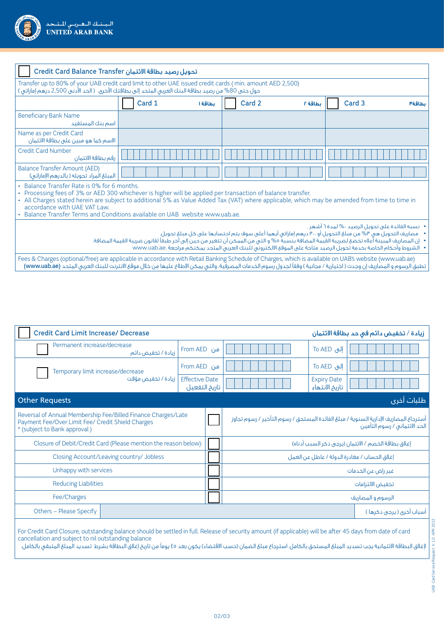

| تحويل رصيد بطاقة الائتمان Credit Card Balance Transfer                                                                                                                                                           |        |         |        |         |        |       |
|------------------------------------------------------------------------------------------------------------------------------------------------------------------------------------------------------------------|--------|---------|--------|---------|--------|-------|
| Transfer up to 80% of your UAB credit card limit to other UAE issued credit cards (min. amount AED 2,500)<br>حول حتى 80% من رصيد بطاقة البنك العربي المتحد إلى بطاقتك الأخرى. ( الحد الأدنى 2,500 درهم إماراتي ) |        |         |        |         |        |       |
|                                                                                                                                                                                                                  | Card 1 | بطاقة ا | Card 2 | ىطاقة ٢ | Card 3 | ساقة٣ |
| <b>Beneficiary Bank Name</b><br>اسم بنك المستفيد                                                                                                                                                                 |        |         |        |         |        |       |
| Name as per Credit Card<br>الاسم كما هو مبين على بطاقة الائتمان                                                                                                                                                  |        |         |        |         |        |       |
| <b>Credit Card Number</b><br>رقم بطاقة الائتمان                                                                                                                                                                  |        |         |        |         |        |       |
| <b>Balance Transfer Amount (AED)</b><br>المبلغ المراد تحويله ( بالدرهم الإماراتي)                                                                                                                                |        |         |        |         |        |       |
| • Balance Transfer Rate is 0% for 6 months.<br>• Processing fees of 3% or AED 300 whichever is higher will be applied per transaction of balance transfer.                                                       |        |         |        |         |        |       |

• All Charges stated herein are subject to additional 5% as Value Added Tax (VAT) where applicable, which may be amended from time to time in accordance with UAE VAT Law.

• Balance Transfer Terms and Conditions available on UAB website www.uab.ae.

 نسبه الفائدة على تحويل الرصيد %٠ لمدة ٦ أشهر .

 مصاريف التحويل هي %٣ من مبلغ التحويل أو 300 درهم إماراتي أيهما أعلى سوف يتم احتسابها على كل مبلغ تحويل.

إن المصاريف المبينة أُعلاه تخضع لضريبة القيمة المضافة بنسبةً ه% و التي من الممكن أن تتغير من حين إلى آخر طبقًا لقانون ضريبة القيمة المضافة.

 الشروط وأحكام الخاصة بخدمة تحويل الرصيد متاحة على الموقع االلكتروني للبنك العربي المتحد يمكنكم مراجعة .ae.uab.www

Fees & Charges (optional/free) are applicable in accordance with Retail Banking Schedule of Charges, which is available on UAB's website (www.uab.ae) تطبق الرسوم و المصاريف إن وجدت ( اختيارية / مجانية ) وفقاً لجدول رسوم الخدمات المصرفية، والتي يمكن الاطلاع عليها من خلال موقع الانترنت للبنك العربي المتحد (www.uab.ae)

| <b>Credit Card Limit Increase/ Decrease</b>                                                                                                                                                                       |                                        |                                                                                                                       |                                      | زيادة / تخفيض دائم في حد بطاقة الائتمان |  |
|-------------------------------------------------------------------------------------------------------------------------------------------------------------------------------------------------------------------|----------------------------------------|-----------------------------------------------------------------------------------------------------------------------|--------------------------------------|-----------------------------------------|--|
| Permanent increase/decrease<br>زيادة / تخفيض دائم                                                                                                                                                                 | من From AED                            |                                                                                                                       | To AED إلى                           |                                         |  |
| Temporary limit increase/decrease<br>زيادة / تخفيض مؤقت                                                                                                                                                           | من From AED                            |                                                                                                                       | To AED إلى                           |                                         |  |
|                                                                                                                                                                                                                   | <b>Effective Date</b><br>تاريخ التفعيل |                                                                                                                       | <b>Expiry Date</b><br>تاريخ الانتهاء |                                         |  |
| <b>Other Requests</b>                                                                                                                                                                                             |                                        |                                                                                                                       |                                      | طلبات أخرى                              |  |
| Reversal of Annual Membership Fee/Billed Finance Charges/Late<br>Payment Fee/Over Limit Fee/ Credit Shield Charges<br>* (subject to Bank approval)                                                                |                                        | أسترجاع المصاريف الإدارية السنوية / مبلغ الفائدة المستحق / رسوم التأخير / رسوم تجاوز<br>الحد الائتمانى / رسوم التآمين |                                      |                                         |  |
| Closure of Debit/Credit Card (Please mention the reason below):                                                                                                                                                   |                                        | إغلاق بطاقة الخصم / الائتمان (يرجى ذكر السبب أدناه)                                                                   |                                      |                                         |  |
| Closing Account/Leaving country/ Jobless                                                                                                                                                                          |                                        | إغلاق الحساب / مغادرة الدولة / عاطل عن العمل                                                                          |                                      |                                         |  |
| Unhappy with services                                                                                                                                                                                             |                                        | غير راض عن الخدمات                                                                                                    |                                      |                                         |  |
| <b>Reducing Liabilities</b>                                                                                                                                                                                       |                                        |                                                                                                                       | تخفيض الالتزامات                     |                                         |  |
| Fee/Charges                                                                                                                                                                                                       |                                        |                                                                                                                       |                                      | الرسوم والمصاريف                        |  |
| Others - Please Specify                                                                                                                                                                                           |                                        |                                                                                                                       |                                      | أسباب أخرى ( يرجى ذكرها )               |  |
| For Credit Card Closure, outstanding balance should be settled in full. Release of security amount (if applicable) will be after 45 days from date of card<br>cancellation and subject to nil outstanding balance |                                        |                                                                                                                       |                                      |                                         |  |

لإغلاق البطاقة الائتمانية يجب تسديد المبلغ المستحق بالكامل. استرجاع مبلغ الضمان (حسب الاقتضاء) يكون بعد 60 يوماً من تاريخ إغلاق البطاقة بشرط تسديد المبلغ المتبقى بالكامل.